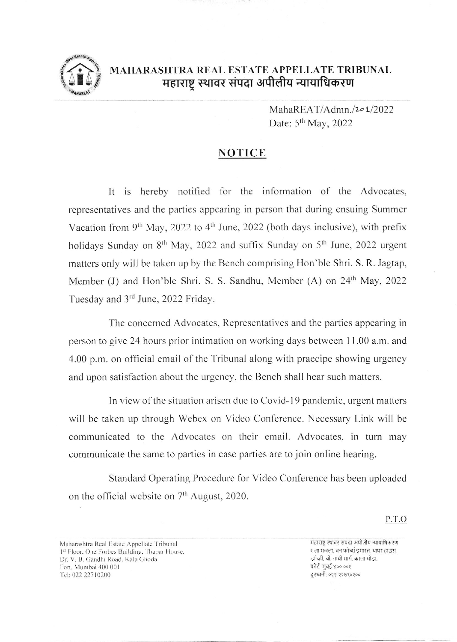

## MAHARASHTRA REAL ESTATE APPELLATE TRIBUNAL महाराष्ट्र स्थावर संपदा अपीलीय न्यायाधिकरण

MahaREAT/Admn./201/2022 Date: 5<sup>th</sup> May, 2022

## **NOTICE**

It is hereby notified for the information of the Advocates, representatives and the parties appearing in person that during ensuing Summer Vacation from 9<sup>th</sup> May, 2022 to 4<sup>th</sup> June, 2022 (both days inclusive), with prefix holidays Sunday on 8<sup>th</sup> May, 2022 and suffix Sunday on 5<sup>th</sup> June, 2022 urgent matters only will be taken up by the Bench comprising Hon'ble Shri, S. R. Jagtap, Member (J) and Hon'ble Shri. S. S. Sandhu, Member (A) on 24<sup>th</sup> May, 2022 Tuesday and 3rd June, 2022 Friday.

The concerned Advocates, Representatives and the parties appearing in person to give 24 hours prior intimation on working days between 11.00 a.m. and 4.00 p.m. on official email of the Tribunal along with praecipe showing urgency and upon satisfaction about the urgency, the Bench shall hear such matters.

In view of the situation arisen due to Covid-19 pandemic, urgent matters will be taken up through Webex on Video Conference. Necessary Link will be communicated to the Advocates on their email. Advocates, in turn may communicate the same to parties in case parties are to join online hearing.

Standard Operating Procedure for Video Conference has been uploaded on the official website on 7<sup>th</sup> August, 2020.

P.T.O

Maharashtra Real Estate Appellate Tribunal 1st Floor, One Forbes Building, Thapar House, Dr. V. B. Gandhi Road. Kala Ghoda Fort. Mumbai 400 001 Tel: 022 22710200

महाराष्ट्र स्थावर संपदा अपीलीय न्यायाधिकरण १ ला मजला. वन फोर्ब्स इमारत. थापर हाउस. डॉ व्ही, बी, गांधी मार्ग, काला धोड़ा, फोर्ट, मंबई ४०० ००१ दुरध्वनी: ०२२ २२७१०२००